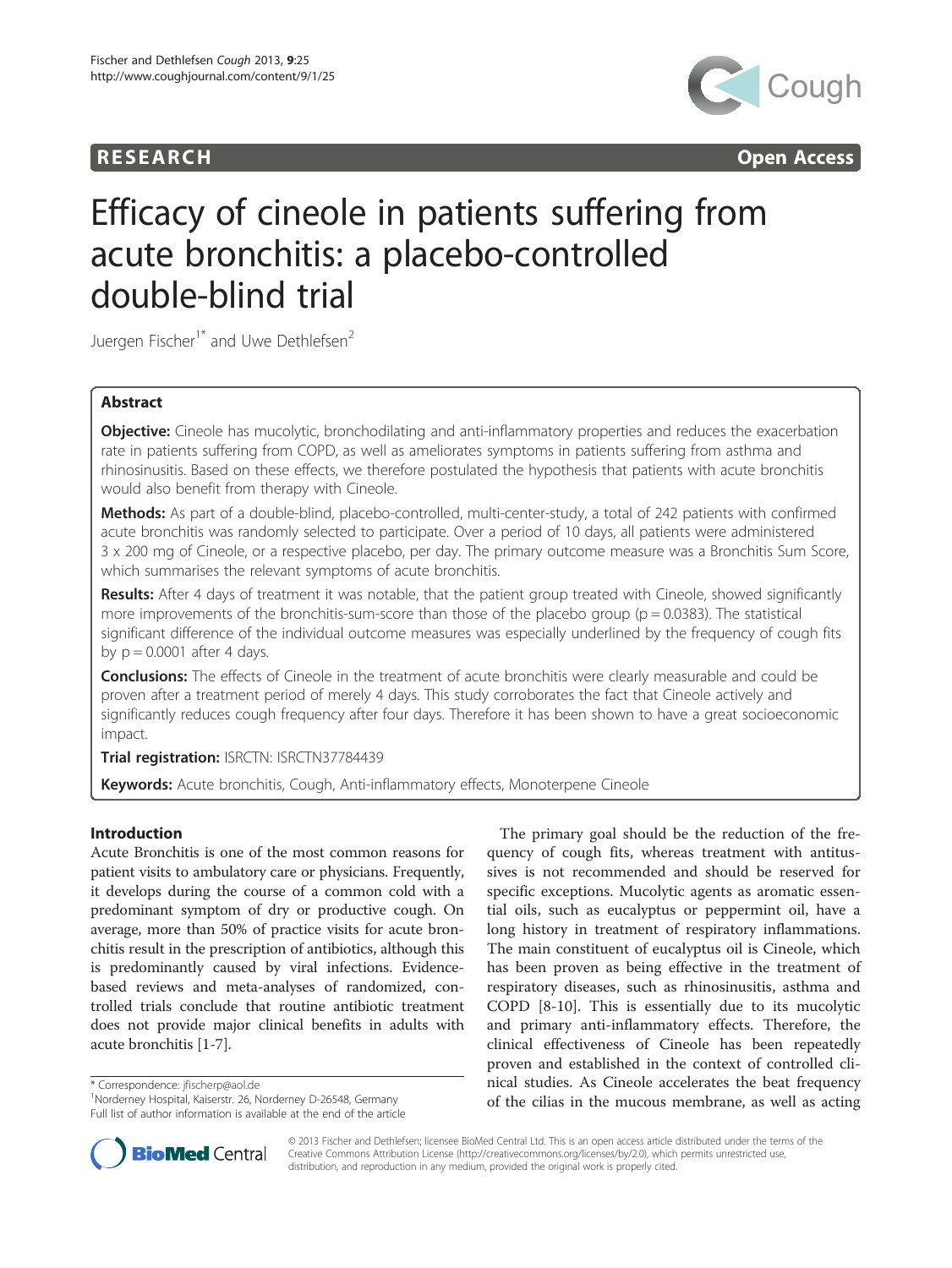





# Efficacy of cineole in patients suffering from acute bronchitis: a placebo-controlled double-blind trial

Juergen Fischer<sup>1\*</sup> and Uwe Dethlefsen<sup>2</sup>

## Abstract

Objective: Cineole has mucolytic, bronchodilating and anti-inflammatory properties and reduces the exacerbation rate in patients suffering from COPD, as well as ameliorates symptoms in patients suffering from asthma and rhinosinusitis. Based on these effects, we therefore postulated the hypothesis that patients with acute bronchitis would also benefit from therapy with Cineole.

Methods: As part of a double-blind, placebo-controlled, multi-center-study, a total of 242 patients with confirmed acute bronchitis was randomly selected to participate. Over a period of 10 days, all patients were administered 3 x 200 mg of Cineole, or a respective placebo, per day. The primary outcome measure was a Bronchitis Sum Score, which summarises the relevant symptoms of acute bronchitis.

Results: After 4 days of treatment it was notable, that the patient group treated with Cineole, showed significantly more improvements of the bronchitis-sum-score than those of the placebo group ( $p = 0.0383$ ). The statistical significant difference of the individual outcome measures was especially underlined by the frequency of cough fits by  $p = 0.0001$  after 4 days.

**Conclusions:** The effects of Cineole in the treatment of acute bronchitis were clearly measurable and could be proven after a treatment period of merely 4 days. This study corroborates the fact that Cineole actively and significantly reduces cough frequency after four days. Therefore it has been shown to have a great socioeconomic impact.

Trial registration: ISRCTN: [ISRCTN37784439](http://www.copntrolled-trials.com.com/ISRCTN37784439)

Keywords: Acute bronchitis, Cough, Anti-inflammatory effects, Monoterpene Cineole

## Introduction

Acute Bronchitis is one of the most common reasons for patient visits to ambulatory care or physicians. Frequently, it develops during the course of a common cold with a predominant symptom of dry or productive cough. On average, more than 50% of practice visits for acute bronchitis result in the prescription of antibiotics, although this is predominantly caused by viral infections. Evidencebased reviews and meta-analyses of randomized, controlled trials conclude that routine antibiotic treatment does not provide major clinical benefits in adults with acute bronchitis [\[1](#page-4-0)-[7\]](#page-4-0).

\* Correspondence: [jfischerp@aol.de](mailto:jfischerp@aol.de) <sup>1</sup>

<sup>1</sup>Norderney Hospital, Kaiserstr. 26, Norderney D-26548, Germany Full list of author information is available at the end of the article

The primary goal should be the reduction of the frequency of cough fits, whereas treatment with antitussives is not recommended and should be reserved for specific exceptions. Mucolytic agents as aromatic essential oils, such as eucalyptus or peppermint oil, have a long history in treatment of respiratory inflammations. The main constituent of eucalyptus oil is Cineole, which has been proven as being effective in the treatment of respiratory diseases, such as rhinosinusitis, asthma and COPD [\[8-10](#page-4-0)]. This is essentially due to its mucolytic and primary anti-inflammatory effects. Therefore, the clinical effectiveness of Cineole has been repeatedly proven and established in the context of controlled clinical studies. As Cineole accelerates the beat frequency of the cilias in the mucous membrane, as well as acting



© 2013 Fischer and Dethlefsen; licensee BioMed Central Ltd. This is an open access article distributed under the terms of the Creative Commons Attribution License (<http://creativecommons.org/licenses/by/2.0>), which permits unrestricted use, distribution, and reproduction in any medium, provided the original work is properly cited.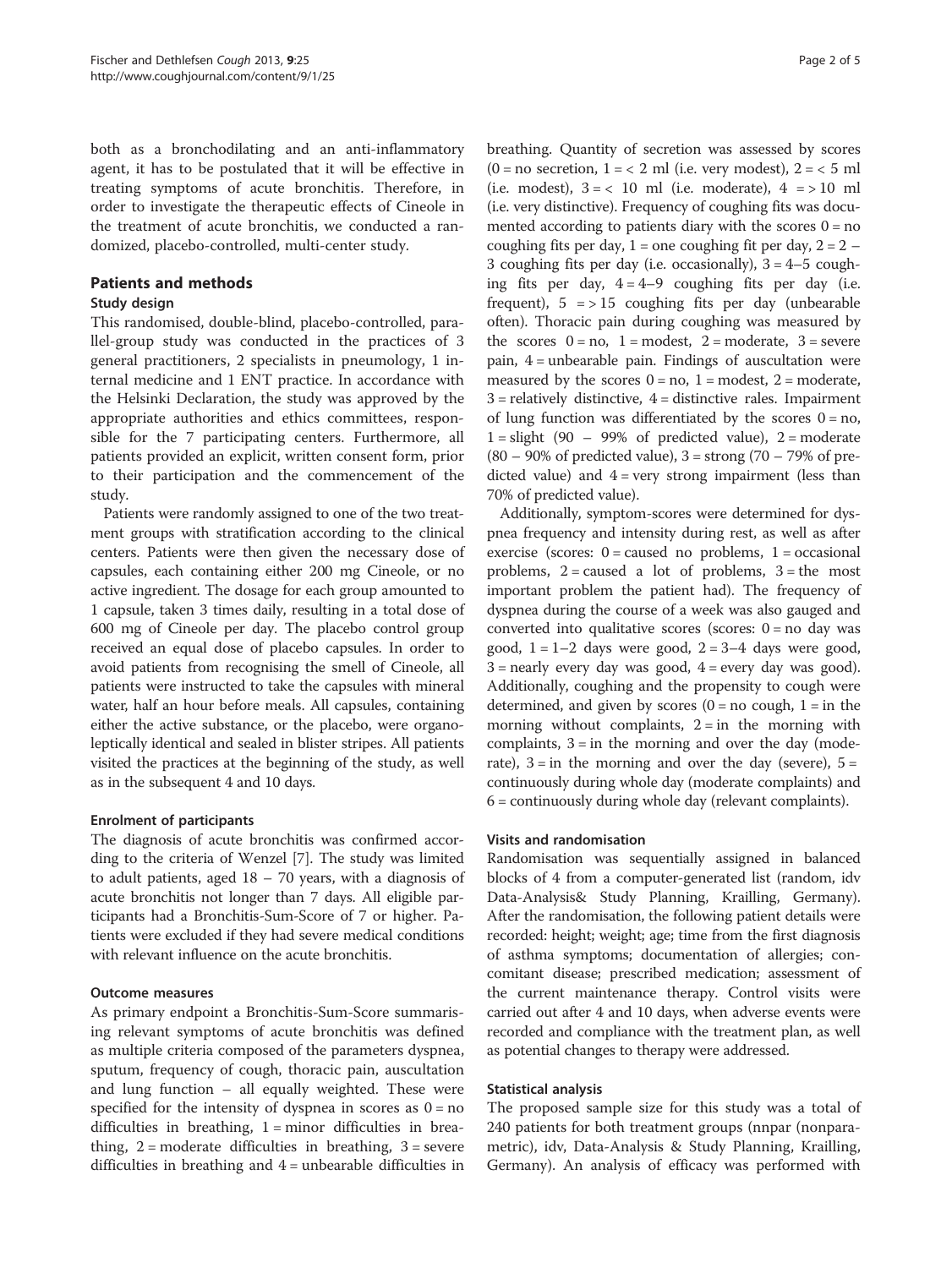both as a bronchodilating and an anti-inflammatory agent, it has to be postulated that it will be effective in treating symptoms of acute bronchitis. Therefore, in order to investigate the therapeutic effects of Cineole in the treatment of acute bronchitis, we conducted a randomized, placebo-controlled, multi-center study.

## Patients and methods

## Study design

This randomised, double-blind, placebo-controlled, parallel-group study was conducted in the practices of 3 general practitioners, 2 specialists in pneumology, 1 internal medicine and 1 ENT practice. In accordance with the Helsinki Declaration, the study was approved by the appropriate authorities and ethics committees, responsible for the 7 participating centers. Furthermore, all patients provided an explicit, written consent form, prior to their participation and the commencement of the study.

Patients were randomly assigned to one of the two treatment groups with stratification according to the clinical centers. Patients were then given the necessary dose of capsules, each containing either 200 mg Cineole, or no active ingredient. The dosage for each group amounted to 1 capsule, taken 3 times daily, resulting in a total dose of 600 mg of Cineole per day. The placebo control group received an equal dose of placebo capsules. In order to avoid patients from recognising the smell of Cineole, all patients were instructed to take the capsules with mineral water, half an hour before meals. All capsules, containing either the active substance, or the placebo, were organoleptically identical and sealed in blister stripes. All patients visited the practices at the beginning of the study, as well as in the subsequent 4 and 10 days.

## Enrolment of participants

The diagnosis of acute bronchitis was confirmed according to the criteria of Wenzel [\[7\]](#page-4-0). The study was limited to adult patients, aged  $18 - 70$  years, with a diagnosis of acute bronchitis not longer than 7 days. All eligible participants had a Bronchitis-Sum-Score of 7 or higher. Patients were excluded if they had severe medical conditions with relevant influence on the acute bronchitis.

## Outcome measures

As primary endpoint a Bronchitis-Sum-Score summarising relevant symptoms of acute bronchitis was defined as multiple criteria composed of the parameters dyspnea, sputum, frequency of cough, thoracic pain, auscultation and lung function – all equally weighted. These were specified for the intensity of dyspnea in scores as  $0 = no$ difficulties in breathing,  $1 =$  minor difficulties in breathing,  $2 =$  moderate difficulties in breathing,  $3 =$  severe difficulties in breathing and 4 = unbearable difficulties in

breathing. Quantity of secretion was assessed by scores  $(0 = no \text{ secretion}, 1 = 2 \text{ ml}$  (i.e. very modest),  $2 = 5 \text{ ml}$ (i.e. modest),  $3 = < 10$  ml (i.e. moderate),  $4 = > 10$  ml (i.e. very distinctive). Frequency of coughing fits was documented according to patients diary with the scores  $0 = no$ coughing fits per day,  $1 =$  one coughing fit per day,  $2 = 2 -$ 3 coughing fits per day (i.e. occasionally),  $3 = 4-5$  coughing fits per day,  $4 = 4-9$  coughing fits per day (i.e. frequent),  $5 \approx 15$  coughing fits per day (unbearable often). Thoracic pain during coughing was measured by the scores  $0 = no$ ,  $1 = modest$ ,  $2 = moderate$ ,  $3 = severe$ pain, 4 = unbearable pain. Findings of auscultation were measured by the scores  $0 = no$ ,  $1 = modest$ ,  $2 = moderate$ ,  $3$  = relatively distinctive,  $4$  = distinctive rales. Impairment of lung function was differentiated by the scores  $0 = no$ ,  $1 =$  slight (90 – 99% of predicted value),  $2 =$  moderate  $(80 - 90\% \text{ of predicted value})$ ,  $3 =$ strong  $(70 - 79\% \text{ of pre-}$ dicted value) and  $4 = \text{very strong impairment}$  (less than 70% of predicted value).

Additionally, symptom-scores were determined for dyspnea frequency and intensity during rest, as well as after exercise (scores:  $0 =$  caused no problems,  $1 =$  occasional problems,  $2 =$  caused a lot of problems,  $3 =$  the most important problem the patient had). The frequency of dyspnea during the course of a week was also gauged and converted into qualitative scores (scores:  $0 = no \, day$  was good,  $1 = 1-2$  days were good,  $2 = 3-4$  days were good,  $3$  = nearly every day was good,  $4$  = every day was good). Additionally, coughing and the propensity to cough were determined, and given by scores  $(0 = no \text{ cough}, 1 = in \text{ the})$ morning without complaints,  $2 = in$  the morning with complaints,  $3 =$  in the morning and over the day (moderate),  $3 = \text{in}$  the morning and over the day (severe),  $5 =$ continuously during whole day (moderate complaints) and 6 = continuously during whole day (relevant complaints).

## Visits and randomisation

Randomisation was sequentially assigned in balanced blocks of 4 from a computer-generated list (random, idv Data-Analysis& Study Planning, Krailling, Germany). After the randomisation, the following patient details were recorded: height; weight; age; time from the first diagnosis of asthma symptoms; documentation of allergies; concomitant disease; prescribed medication; assessment of the current maintenance therapy. Control visits were carried out after 4 and 10 days, when adverse events were recorded and compliance with the treatment plan, as well as potential changes to therapy were addressed.

## Statistical analysis

The proposed sample size for this study was a total of 240 patients for both treatment groups (nnpar (nonparametric), idv, Data-Analysis & Study Planning, Krailling, Germany). An analysis of efficacy was performed with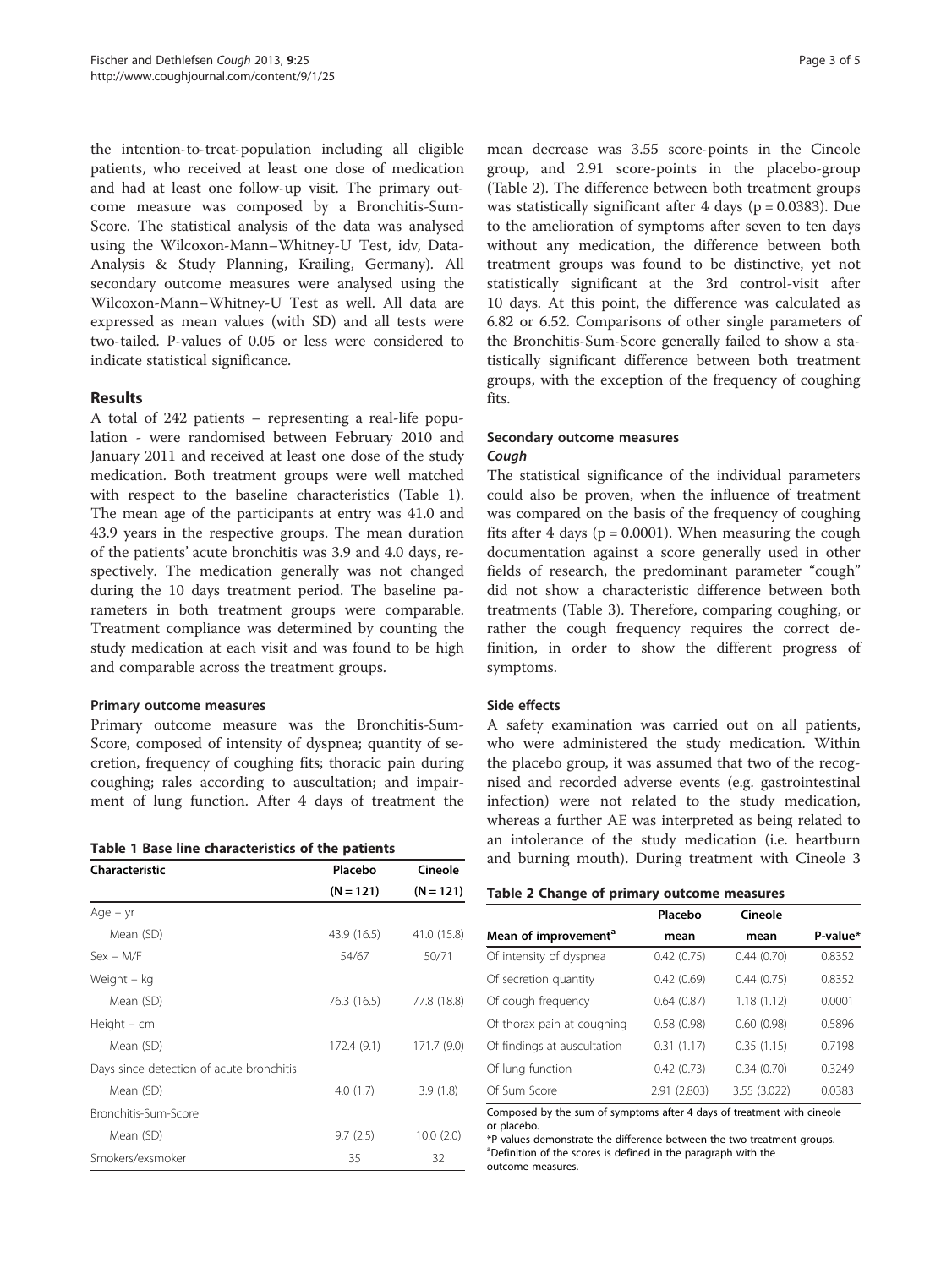the intention-to-treat-population including all eligible patients, who received at least one dose of medication and had at least one follow-up visit. The primary outcome measure was composed by a Bronchitis-Sum-Score. The statistical analysis of the data was analysed using the Wilcoxon-Mann–Whitney-U Test, idv, Data-Analysis & Study Planning, Krailing, Germany). All secondary outcome measures were analysed using the Wilcoxon-Mann–Whitney-U Test as well. All data are expressed as mean values (with SD) and all tests were two-tailed. P-values of 0.05 or less were considered to indicate statistical significance.

#### Results

A total of 242 patients – representing a real-life population - were randomised between February 2010 and January 2011 and received at least one dose of the study medication. Both treatment groups were well matched with respect to the baseline characteristics (Table 1). The mean age of the participants at entry was 41.0 and 43.9 years in the respective groups. The mean duration of the patients' acute bronchitis was 3.9 and 4.0 days, respectively. The medication generally was not changed during the 10 days treatment period. The baseline parameters in both treatment groups were comparable. Treatment compliance was determined by counting the study medication at each visit and was found to be high and comparable across the treatment groups.

#### Primary outcome measures

Primary outcome measure was the Bronchitis-Sum-Score, composed of intensity of dyspnea; quantity of secretion, frequency of coughing fits; thoracic pain during coughing; rales according to auscultation; and impairment of lung function. After 4 days of treatment the

| Characteristic                           | Placebo     | Cineole     |
|------------------------------------------|-------------|-------------|
|                                          | $(N = 121)$ | $(N = 121)$ |
| Age – yr                                 |             |             |
| Mean (SD)                                | 43.9 (16.5) | 41.0 (15.8) |
| $Sex - M/F$                              | 54/67       | 50/71       |
| Weight – kg                              |             |             |
| Mean (SD)                                | 76.3 (16.5) | 77.8 (18.8) |
| Height $-$ cm                            |             |             |
| Mean (SD)                                | 172.4(9.1)  | 171.7 (9.0) |
| Days since detection of acute bronchitis |             |             |
| Mean (SD)                                | 4.0(1.7)    | 3.9(1.8)    |
| Bronchitis-Sum-Score                     |             |             |
| Mean (SD)                                | 9.7(2.5)    | 10.0(2.0)   |
| Smokers/exsmoker                         | 35          | 32          |

mean decrease was 3.55 score-points in the Cineole group, and 2.91 score-points in the placebo-group (Table 2). The difference between both treatment groups was statistically significant after 4 days ( $p = 0.0383$ ). Due to the amelioration of symptoms after seven to ten days without any medication, the difference between both treatment groups was found to be distinctive, yet not statistically significant at the 3rd control-visit after 10 days. At this point, the difference was calculated as 6.82 or 6.52. Comparisons of other single parameters of the Bronchitis-Sum-Score generally failed to show a statistically significant difference between both treatment groups, with the exception of the frequency of coughing fits.

## Secondary outcome measures

The statistical significance of the individual parameters could also be proven, when the influence of treatment was compared on the basis of the frequency of coughing fits after 4 days ( $p = 0.0001$ ). When measuring the cough documentation against a score generally used in other fields of research, the predominant parameter "cough" did not show a characteristic difference between both treatments (Table [3](#page-3-0)). Therefore, comparing coughing, or rather the cough frequency requires the correct definition, in order to show the different progress of symptoms.

#### Side effects

A safety examination was carried out on all patients, who were administered the study medication. Within the placebo group, it was assumed that two of the recognised and recorded adverse events (e.g. gastrointestinal infection) were not related to the study medication, whereas a further AE was interpreted as being related to an intolerance of the study medication (i.e. heartburn and burning mouth). During treatment with Cineole 3

Table 2 Change of primary outcome measures

|                                  | Placebo      | Cineole      |          |
|----------------------------------|--------------|--------------|----------|
| Mean of improvement <sup>a</sup> | mean         | mean         | P-value* |
| Of intensity of dyspnea          | 0.42(0.75)   | 0.44(0.70)   | 0.8352   |
| Of secretion quantity            | 0.42(0.69)   | 0.44(0.75)   | 0.8352   |
| Of cough frequency               | 0.64(0.87)   | 1.18(1.12)   | 0.0001   |
| Of thorax pain at coughing       | 0.58(0.98)   | 0.60(0.98)   | 0.5896   |
| Of findings at auscultation      | 0.31(1.17)   | 0.35(1.15)   | 0.7198   |
| Of lung function                 | 0.42(0.73)   | 0.34(0.70)   | 0.3249   |
| Of Sum Score                     | 2.91 (2.803) | 3.55 (3.022) | 0.0383   |

Composed by the sum of symptoms after 4 days of treatment with cineole or placebo.

\*P-values demonstrate the difference between the two treatment groups. <sup>a</sup>Definition of the scores is defined in the paragraph with the outcome measures.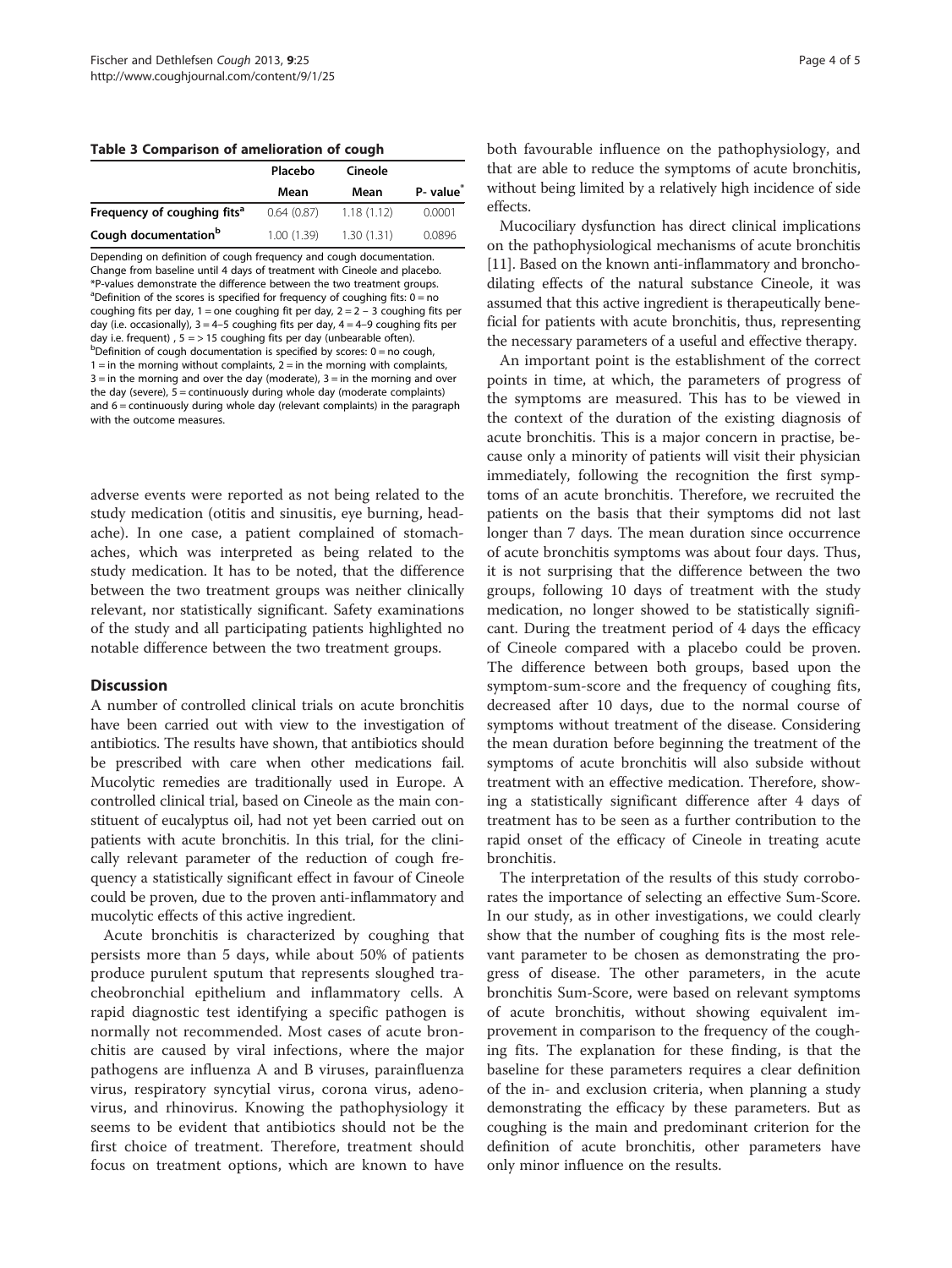<span id="page-3-0"></span>Table 3 Comparison of amelioration of cough

|                                         | Placebo    | Cineole    |                       |  |
|-----------------------------------------|------------|------------|-----------------------|--|
|                                         | Mean       | Mean       | P- value <sup>*</sup> |  |
| Frequency of coughing fits <sup>a</sup> | 0.64(0.87) | 1.18(1.12) | 0.0001                |  |
| Cough documentation <sup>b</sup>        | 1.00(1.39) | 1.30(1.31) | 0.0896                |  |

Depending on definition of cough frequency and cough documentation. Change from baseline until 4 days of treatment with Cineole and placebo. \*P-values demonstrate the difference between the two treatment groups. <sup>a</sup>Definition of the scores is specified for frequency of coughing fits: 0 = no coughing fits per day,  $1 =$  one coughing fit per day,  $2 = 2 - 3$  coughing fits per day (i.e. occasionally),  $3 = 4-5$  coughing fits per day,  $4 = 4-9$  coughing fits per day i.e. frequent) ,  $5 = 515$  coughing fits per day (unbearable often). <sup>b</sup>Definition of cough documentation is specified by scores: 0 = no cough,  $1 =$  in the morning without complaints,  $2 =$  in the morning with complaints,  $3 =$  in the morning and over the day (moderate),  $3 =$  in the morning and over the day (severe),  $5 =$  continuously during whole day (moderate complaints) and  $6$  = continuously during whole day (relevant complaints) in the paragraph with the outcome measures.

adverse events were reported as not being related to the study medication (otitis and sinusitis, eye burning, headache). In one case, a patient complained of stomachaches, which was interpreted as being related to the study medication. It has to be noted, that the difference between the two treatment groups was neither clinically relevant, nor statistically significant. Safety examinations of the study and all participating patients highlighted no notable difference between the two treatment groups.

#### **Discussion**

A number of controlled clinical trials on acute bronchitis have been carried out with view to the investigation of antibiotics. The results have shown, that antibiotics should be prescribed with care when other medications fail. Mucolytic remedies are traditionally used in Europe. A controlled clinical trial, based on Cineole as the main constituent of eucalyptus oil, had not yet been carried out on patients with acute bronchitis. In this trial, for the clinically relevant parameter of the reduction of cough frequency a statistically significant effect in favour of Cineole could be proven, due to the proven anti-inflammatory and mucolytic effects of this active ingredient.

Acute bronchitis is characterized by coughing that persists more than 5 days, while about 50% of patients produce purulent sputum that represents sloughed tracheobronchial epithelium and inflammatory cells. A rapid diagnostic test identifying a specific pathogen is normally not recommended. Most cases of acute bronchitis are caused by viral infections, where the major pathogens are influenza A and B viruses, parainfluenza virus, respiratory syncytial virus, corona virus, adenovirus, and rhinovirus. Knowing the pathophysiology it seems to be evident that antibiotics should not be the first choice of treatment. Therefore, treatment should focus on treatment options, which are known to have

both favourable influence on the pathophysiology, and that are able to reduce the symptoms of acute bronchitis, without being limited by a relatively high incidence of side effects.

Mucociliary dysfunction has direct clinical implications on the pathophysiological mechanisms of acute bronchitis [[11](#page-4-0)]. Based on the known anti-inflammatory and bronchodilating effects of the natural substance Cineole, it was assumed that this active ingredient is therapeutically beneficial for patients with acute bronchitis, thus, representing the necessary parameters of a useful and effective therapy.

An important point is the establishment of the correct points in time, at which, the parameters of progress of the symptoms are measured. This has to be viewed in the context of the duration of the existing diagnosis of acute bronchitis. This is a major concern in practise, because only a minority of patients will visit their physician immediately, following the recognition the first symptoms of an acute bronchitis. Therefore, we recruited the patients on the basis that their symptoms did not last longer than 7 days. The mean duration since occurrence of acute bronchitis symptoms was about four days. Thus, it is not surprising that the difference between the two groups, following 10 days of treatment with the study medication, no longer showed to be statistically significant. During the treatment period of 4 days the efficacy of Cineole compared with a placebo could be proven. The difference between both groups, based upon the symptom-sum-score and the frequency of coughing fits, decreased after 10 days, due to the normal course of symptoms without treatment of the disease. Considering the mean duration before beginning the treatment of the symptoms of acute bronchitis will also subside without treatment with an effective medication. Therefore, showing a statistically significant difference after 4 days of treatment has to be seen as a further contribution to the rapid onset of the efficacy of Cineole in treating acute bronchitis.

The interpretation of the results of this study corroborates the importance of selecting an effective Sum-Score. In our study, as in other investigations, we could clearly show that the number of coughing fits is the most relevant parameter to be chosen as demonstrating the progress of disease. The other parameters, in the acute bronchitis Sum-Score, were based on relevant symptoms of acute bronchitis, without showing equivalent improvement in comparison to the frequency of the coughing fits. The explanation for these finding, is that the baseline for these parameters requires a clear definition of the in- and exclusion criteria, when planning a study demonstrating the efficacy by these parameters. But as coughing is the main and predominant criterion for the definition of acute bronchitis, other parameters have only minor influence on the results.